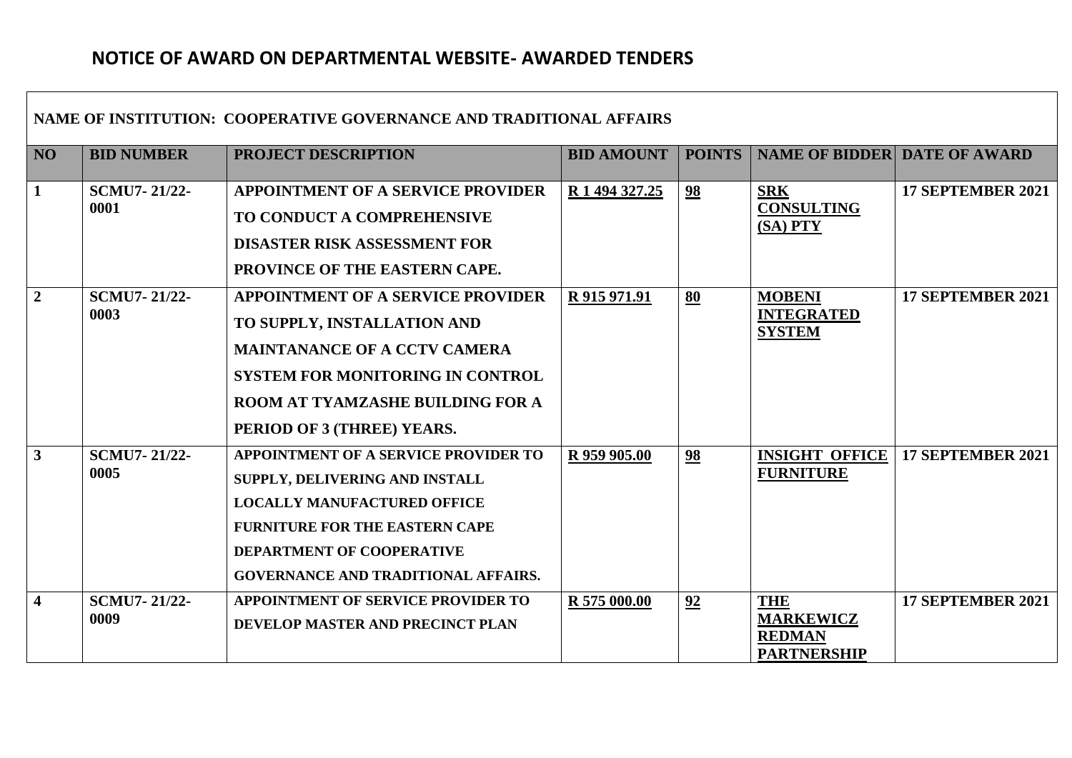## **NOTICE OF AWARD ON DEPARTMENTAL WEBSITE- AWARDED TENDERS**

 $\Gamma$ 

| NAME OF INSTITUTION: COOPERATIVE GOVERNANCE AND TRADITIONAL AFFAIRS |                             |                                                                                                                                                                                                                                  |                   |               |                                                                       |                          |  |  |  |
|---------------------------------------------------------------------|-----------------------------|----------------------------------------------------------------------------------------------------------------------------------------------------------------------------------------------------------------------------------|-------------------|---------------|-----------------------------------------------------------------------|--------------------------|--|--|--|
| NO                                                                  | <b>BID NUMBER</b>           | PROJECT DESCRIPTION                                                                                                                                                                                                              | <b>BID AMOUNT</b> | <b>POINTS</b> | <b>NAME OF BIDDER DATE OF AWARD</b>                                   |                          |  |  |  |
| $\mathbf{1}$                                                        | <b>SCMU7-21/22-</b><br>0001 | <b>APPOINTMENT OF A SERVICE PROVIDER</b><br>TO CONDUCT A COMPREHENSIVE<br><b>DISASTER RISK ASSESSMENT FOR</b><br>PROVINCE OF THE EASTERN CAPE.                                                                                   | R 1 494 327.25    | 98            | <b>SRK</b><br><b>CONSULTING</b><br>$(SA)$ PTY                         | 17 SEPTEMBER 2021        |  |  |  |
| $\overline{2}$                                                      | <b>SCMU7-21/22-</b><br>0003 | <b>APPOINTMENT OF A SERVICE PROVIDER</b><br>TO SUPPLY, INSTALLATION AND<br><b>MAINTANANCE OF A CCTV CAMERA</b><br><b>SYSTEM FOR MONITORING IN CONTROL</b><br>ROOM AT TYAMZASHE BUILDING FOR A<br>PERIOD OF 3 (THREE) YEARS.      | R 915 971.91      | 80            | <b>MOBENI</b><br><b>INTEGRATED</b><br><b>SYSTEM</b>                   | <b>17 SEPTEMBER 2021</b> |  |  |  |
| $\overline{3}$                                                      | <b>SCMU7-21/22-</b><br>0005 | APPOINTMENT OF A SERVICE PROVIDER TO<br>SUPPLY, DELIVERING AND INSTALL<br><b>LOCALLY MANUFACTURED OFFICE</b><br><b>FURNITURE FOR THE EASTERN CAPE</b><br>DEPARTMENT OF COOPERATIVE<br><b>GOVERNANCE AND TRADITIONAL AFFAIRS.</b> | R 959 905.00      | 98            | <b>INSIGHT OFFICE</b><br><b>FURNITURE</b>                             | 17 SEPTEMBER 2021        |  |  |  |
| $\overline{\mathbf{4}}$                                             | <b>SCMU7-21/22-</b><br>0009 | <b>APPOINTMENT OF SERVICE PROVIDER TO</b><br>DEVELOP MASTER AND PRECINCT PLAN                                                                                                                                                    | R 575 000.00      | 92            | <b>THE</b><br><b>MARKEWICZ</b><br><b>REDMAN</b><br><b>PARTNERSHIP</b> | <b>17 SEPTEMBER 2021</b> |  |  |  |

┓